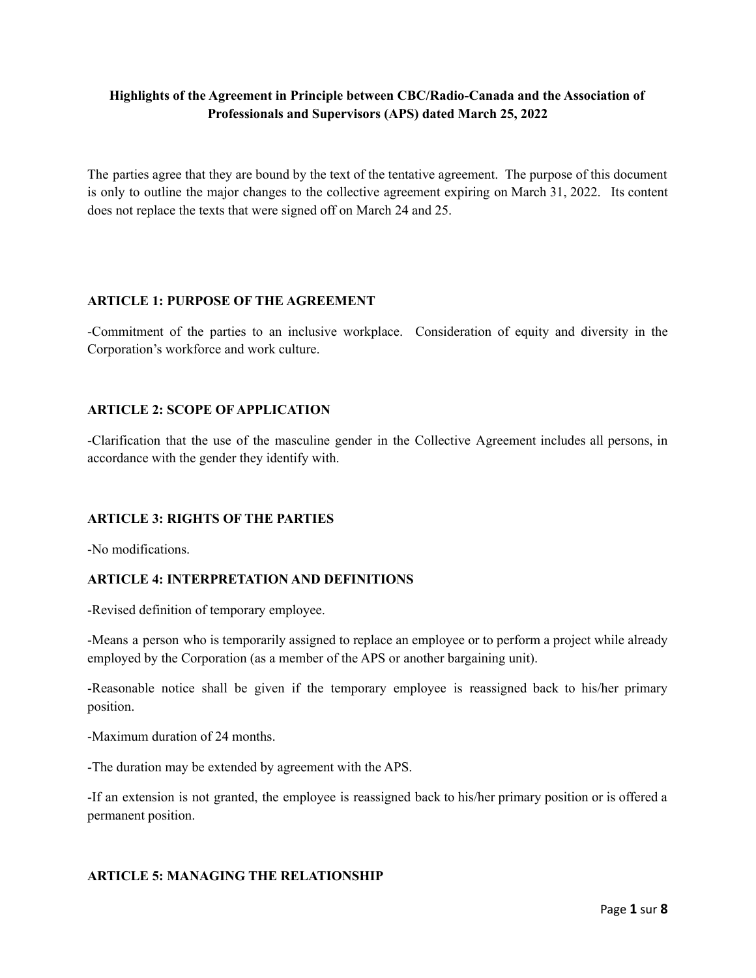# **Highlights of the Agreement in Principle between CBC/Radio-Canada and the Association of Professionals and Supervisors (APS) dated March 25, 2022**

The parties agree that they are bound by the text of the tentative agreement. The purpose of this document is only to outline the major changes to the collective agreement expiring on March 31, 2022. Its content does not replace the texts that were signed off on March 24 and 25.

## **ARTICLE 1: PURPOSE OF THE AGREEMENT**

-Commitment of the parties to an inclusive workplace. Consideration of equity and diversity in the Corporation's workforce and work culture.

## **ARTICLE 2: SCOPE OF APPLICATION**

-Clarification that the use of the masculine gender in the Collective Agreement includes all persons, in accordance with the gender they identify with.

#### **ARTICLE 3: RIGHTS OF THE PARTIES**

-No modifications.

#### **ARTICLE 4: INTERPRETATION AND DEFINITIONS**

-Revised definition of temporary employee.

-Means a person who is temporarily assigned to replace an employee or to perform a project while already employed by the Corporation (as a member of the APS or another bargaining unit).

-Reasonable notice shall be given if the temporary employee is reassigned back to his/her primary position.

-Maximum duration of 24 months.

-The duration may be extended by agreement with the APS.

-If an extension is not granted, the employee is reassigned back to his/her primary position or is offered a permanent position.

# **ARTICLE 5: MANAGING THE RELATIONSHIP**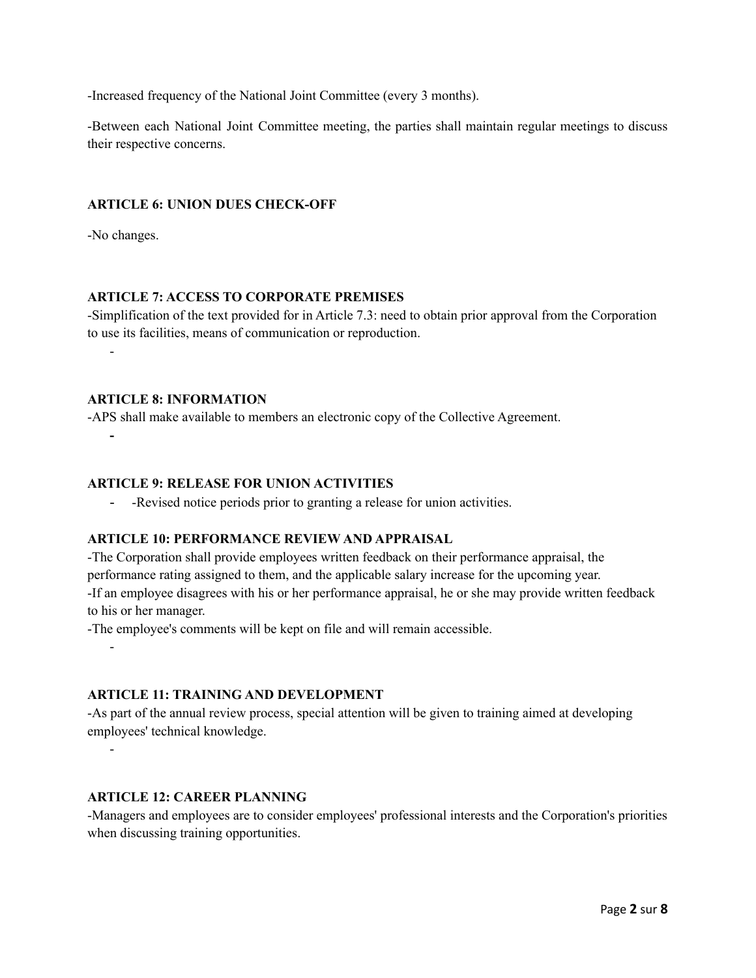-Increased frequency of the National Joint Committee (every 3 months).

-Between each National Joint Committee meeting, the parties shall maintain regular meetings to discuss their respective concerns.

## **ARTICLE 6: UNION DUES CHECK-OFF**

-No changes.

-

**-**

-

-

## **ARTICLE 7: ACCESS TO CORPORATE PREMISES**

-Simplification of the text provided for in Article 7.3: need to obtain prior approval from the Corporation to use its facilities, means of communication or reproduction.

#### **ARTICLE 8: INFORMATION**

-APS shall make available to members an electronic copy of the Collective Agreement.

#### **ARTICLE 9: RELEASE FOR UNION ACTIVITIES**

- -Revised notice periods prior to granting a release for union activities.

#### **ARTICLE 10: PERFORMANCE REVIEW AND APPRAISAL**

-The Corporation shall provide employees written feedback on their performance appraisal, the performance rating assigned to them, and the applicable salary increase for the upcoming year. -If an employee disagrees with his or her performance appraisal, he or she may provide written feedback to his or her manager.

-The employee's comments will be kept on file and will remain accessible.

**ARTICLE 11: TRAINING AND DEVELOPMENT**

-As part of the annual review process, special attention will be given to training aimed at developing employees' technical knowledge.

## **ARTICLE 12: CAREER PLANNING**

-Managers and employees are to consider employees' professional interests and the Corporation's priorities when discussing training opportunities.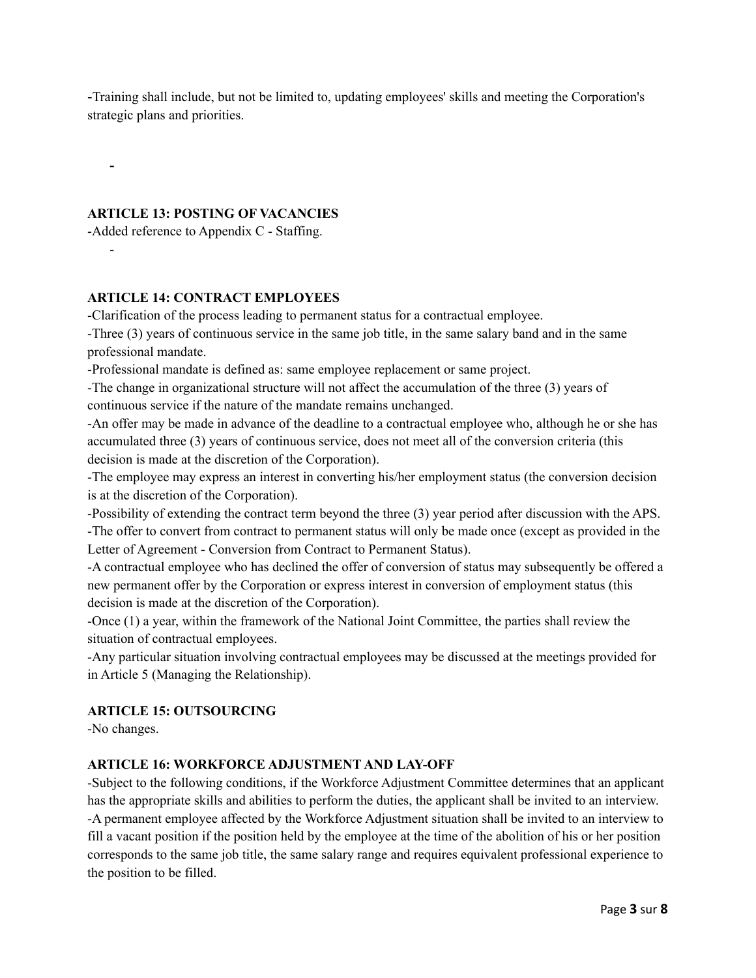-Training shall include, but not be limited to, updating employees' skills and meeting the Corporation's strategic plans and priorities.

#### **ARTICLE 13: POSTING OF VACANCIES**

-Added reference to Appendix C - Staffing.

**-**

-

## **ARTICLE 14: CONTRACT EMPLOYEES**

-Clarification of the process leading to permanent status for a contractual employee.

-Three (3) years of continuous service in the same job title, in the same salary band and in the same professional mandate.

-Professional mandate is defined as: same employee replacement or same project.

-The change in organizational structure will not affect the accumulation of the three (3) years of continuous service if the nature of the mandate remains unchanged.

-An offer may be made in advance of the deadline to a contractual employee who, although he or she has accumulated three (3) years of continuous service, does not meet all of the conversion criteria (this decision is made at the discretion of the Corporation).

-The employee may express an interest in converting his/her employment status (the conversion decision is at the discretion of the Corporation).

-Possibility of extending the contract term beyond the three (3) year period after discussion with the APS. -The offer to convert from contract to permanent status will only be made once (except as provided in the Letter of Agreement - Conversion from Contract to Permanent Status).

-A contractual employee who has declined the offer of conversion of status may subsequently be offered a new permanent offer by the Corporation or express interest in conversion of employment status (this decision is made at the discretion of the Corporation).

-Once (1) a year, within the framework of the National Joint Committee, the parties shall review the situation of contractual employees.

-Any particular situation involving contractual employees may be discussed at the meetings provided for in Article 5 (Managing the Relationship).

# **ARTICLE 15: OUTSOURCING**

-No changes.

# **ARTICLE 16: WORKFORCE ADJUSTMENT AND LAY-OFF**

-Subject to the following conditions, if the Workforce Adjustment Committee determines that an applicant has the appropriate skills and abilities to perform the duties, the applicant shall be invited to an interview. -A permanent employee affected by the Workforce Adjustment situation shall be invited to an interview to fill a vacant position if the position held by the employee at the time of the abolition of his or her position corresponds to the same job title, the same salary range and requires equivalent professional experience to the position to be filled.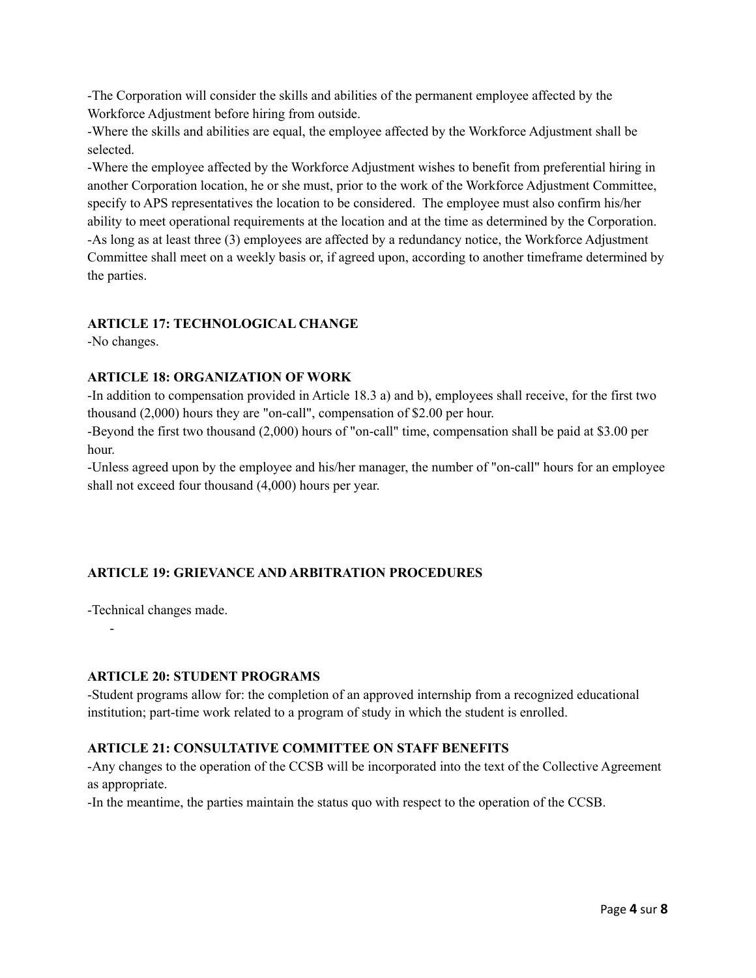-The Corporation will consider the skills and abilities of the permanent employee affected by the Workforce Adjustment before hiring from outside.

-Where the skills and abilities are equal, the employee affected by the Workforce Adjustment shall be selected.

-Where the employee affected by the Workforce Adjustment wishes to benefit from preferential hiring in another Corporation location, he or she must, prior to the work of the Workforce Adjustment Committee, specify to APS representatives the location to be considered. The employee must also confirm his/her ability to meet operational requirements at the location and at the time as determined by the Corporation. -As long as at least three (3) employees are affected by a redundancy notice, the Workforce Adjustment Committee shall meet on a weekly basis or, if agreed upon, according to another timeframe determined by the parties.

# **ARTICLE 17: TECHNOLOGICAL CHANGE**

-No changes.

# **ARTICLE 18: ORGANIZATION OF WORK**

-In addition to compensation provided in Article 18.3 a) and b), employees shall receive, for the first two thousand (2,000) hours they are "on-call", compensation of \$2.00 per hour.

-Beyond the first two thousand (2,000) hours of "on-call" time, compensation shall be paid at \$3.00 per hour.

-Unless agreed upon by the employee and his/her manager, the number of "on-call" hours for an employee shall not exceed four thousand (4,000) hours per year.

# **ARTICLE 19: GRIEVANCE AND ARBITRATION PROCEDURES**

-Technical changes made.

-

# **ARTICLE 20: STUDENT PROGRAMS**

-Student programs allow for: the completion of an approved internship from a recognized educational institution; part-time work related to a program of study in which the student is enrolled.

# **ARTICLE 21: CONSULTATIVE COMMITTEE ON STAFF BENEFITS**

-Any changes to the operation of the CCSB will be incorporated into the text of the Collective Agreement as appropriate.

-In the meantime, the parties maintain the status quo with respect to the operation of the CCSB.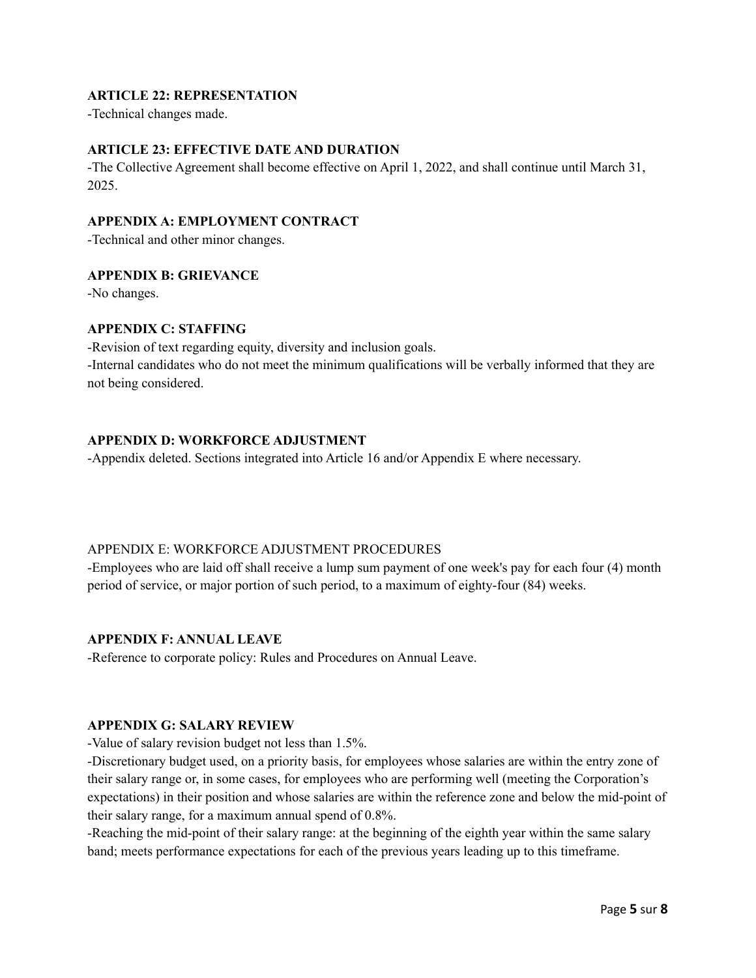# **ARTICLE 22: REPRESENTATION**

-Technical changes made.

#### **ARTICLE 23: EFFECTIVE DATE AND DURATION**

-The Collective Agreement shall become effective on April 1, 2022, and shall continue until March 31, 2025.

#### **APPENDIX A: EMPLOYMENT CONTRACT**

-Technical and other minor changes.

#### **APPENDIX B: GRIEVANCE**

-No changes.

# **APPENDIX C: STAFFING**

-Revision of text regarding equity, diversity and inclusion goals. -Internal candidates who do not meet the minimum qualifications will be verbally informed that they are not being considered.

#### **APPENDIX D: WORKFORCE ADJUSTMENT**

-Appendix deleted. Sections integrated into Article 16 and/or Appendix E where necessary.

#### APPENDIX E: WORKFORCE ADJUSTMENT PROCEDURES

-Employees who are laid off shall receive a lump sum payment of one week's pay for each four (4) month period of service, or major portion of such period, to a maximum of eighty-four (84) weeks.

#### **APPENDIX F: ANNUAL LEAVE**

-Reference to corporate policy: Rules and Procedures on Annual Leave.

#### **APPENDIX G: SALARY REVIEW**

-Value of salary revision budget not less than 1.5%.

-Discretionary budget used, on a priority basis, for employees whose salaries are within the entry zone of their salary range or, in some cases, for employees who are performing well (meeting the Corporation's expectations) in their position and whose salaries are within the reference zone and below the mid-point of their salary range, for a maximum annual spend of 0.8%.

-Reaching the mid-point of their salary range: at the beginning of the eighth year within the same salary band; meets performance expectations for each of the previous years leading up to this timeframe.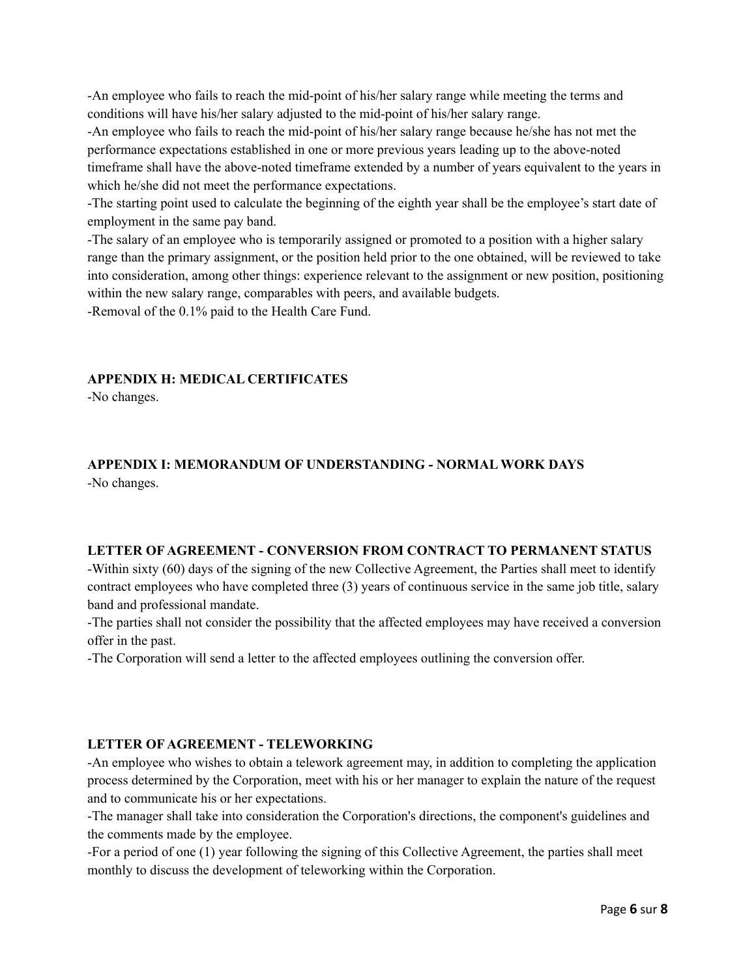-An employee who fails to reach the mid-point of his/her salary range while meeting the terms and conditions will have his/her salary adjusted to the mid-point of his/her salary range.

-An employee who fails to reach the mid-point of his/her salary range because he/she has not met the performance expectations established in one or more previous years leading up to the above-noted timeframe shall have the above-noted timeframe extended by a number of years equivalent to the years in which he/she did not meet the performance expectations.

-The starting point used to calculate the beginning of the eighth year shall be the employee's start date of employment in the same pay band.

-The salary of an employee who is temporarily assigned or promoted to a position with a higher salary range than the primary assignment, or the position held prior to the one obtained, will be reviewed to take into consideration, among other things: experience relevant to the assignment or new position, positioning within the new salary range, comparables with peers, and available budgets.

-Removal of the 0.1% paid to the Health Care Fund.

# **APPENDIX H: MEDICAL CERTIFICATES**

-No changes.

# **APPENDIX I: MEMORANDUM OF UNDERSTANDING - NORMAL WORK DAYS**

-No changes.

#### **LETTER OF AGREEMENT - CONVERSION FROM CONTRACT TO PERMANENT STATUS**

-Within sixty (60) days of the signing of the new Collective Agreement, the Parties shall meet to identify contract employees who have completed three (3) years of continuous service in the same job title, salary band and professional mandate.

-The parties shall not consider the possibility that the affected employees may have received a conversion offer in the past.

-The Corporation will send a letter to the affected employees outlining the conversion offer.

# **LETTER OF AGREEMENT - TELEWORKING**

-An employee who wishes to obtain a telework agreement may, in addition to completing the application process determined by the Corporation, meet with his or her manager to explain the nature of the request and to communicate his or her expectations.

-The manager shall take into consideration the Corporation's directions, the component's guidelines and the comments made by the employee.

-For a period of one (1) year following the signing of this Collective Agreement, the parties shall meet monthly to discuss the development of teleworking within the Corporation.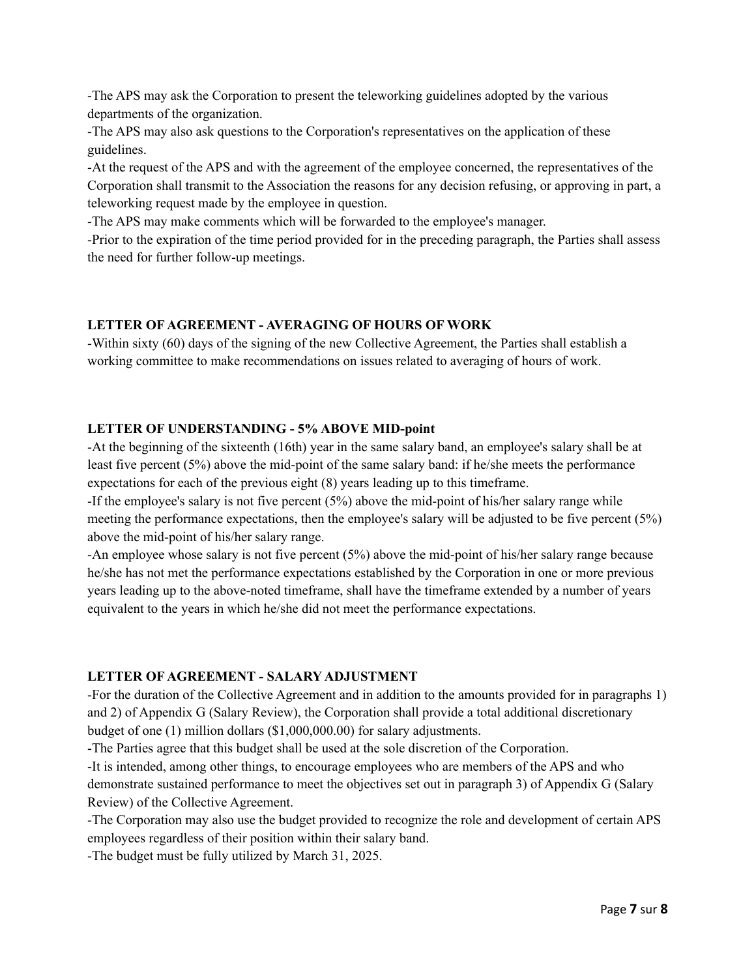-The APS may ask the Corporation to present the teleworking guidelines adopted by the various departments of the organization.

-The APS may also ask questions to the Corporation's representatives on the application of these guidelines.

-At the request of the APS and with the agreement of the employee concerned, the representatives of the Corporation shall transmit to the Association the reasons for any decision refusing, or approving in part, a teleworking request made by the employee in question.

-The APS may make comments which will be forwarded to the employee's manager.

-Prior to the expiration of the time period provided for in the preceding paragraph, the Parties shall assess the need for further follow-up meetings.

# **LETTER OF AGREEMENT - AVERAGING OF HOURS OF WORK**

-Within sixty (60) days of the signing of the new Collective Agreement, the Parties shall establish a working committee to make recommendations on issues related to averaging of hours of work.

# **LETTER OF UNDERSTANDING - 5% ABOVE MID-point**

-At the beginning of the sixteenth (16th) year in the same salary band, an employee's salary shall be at least five percent (5%) above the mid-point of the same salary band: if he/she meets the performance expectations for each of the previous eight (8) years leading up to this timeframe.

-If the employee's salary is not five percent (5%) above the mid-point of his/her salary range while meeting the performance expectations, then the employee's salary will be adjusted to be five percent (5%) above the mid-point of his/her salary range.

-An employee whose salary is not five percent (5%) above the mid-point of his/her salary range because he/she has not met the performance expectations established by the Corporation in one or more previous years leading up to the above-noted timeframe, shall have the timeframe extended by a number of years equivalent to the years in which he/she did not meet the performance expectations.

# **LETTER OF AGREEMENT - SALARY ADJUSTMENT**

-For the duration of the Collective Agreement and in addition to the amounts provided for in paragraphs 1) and 2) of Appendix G (Salary Review), the Corporation shall provide a total additional discretionary budget of one (1) million dollars (\$1,000,000.00) for salary adjustments.

-The Parties agree that this budget shall be used at the sole discretion of the Corporation.

-It is intended, among other things, to encourage employees who are members of the APS and who demonstrate sustained performance to meet the objectives set out in paragraph 3) of Appendix G (Salary Review) of the Collective Agreement.

-The Corporation may also use the budget provided to recognize the role and development of certain APS employees regardless of their position within their salary band.

-The budget must be fully utilized by March 31, 2025.